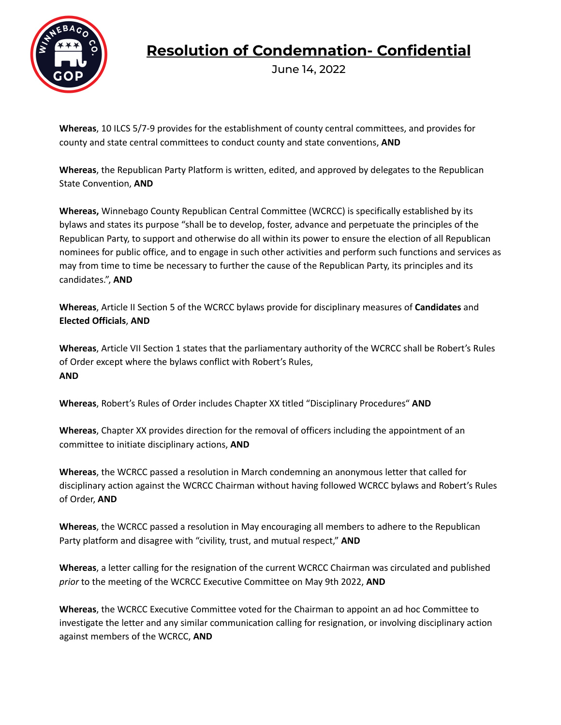

## **Resolution of Condemnation- Confidential**

June 14, 2022

**Whereas**, 10 ILCS 5/7-9 provides for the establishment of county central committees, and provides for county and state central committees to conduct county and state conventions, **AND**

**Whereas**, the Republican Party Platform is written, edited, and approved by delegates to the Republican State Convention, **AND**

**Whereas,** Winnebago County Republican Central Committee (WCRCC) is specifically established by its bylaws and states its purpose "shall be to develop, foster, advance and perpetuate the principles of the Republican Party, to support and otherwise do all within its power to ensure the election of all Republican nominees for public office, and to engage in such other activities and perform such functions and services as may from time to time be necessary to further the cause of the Republican Party, its principles and its candidates.", **AND**

**Whereas**, Article II Section 5 of the WCRCC bylaws provide for disciplinary measures of **Candidates** and **Elected Officials**, **AND**

**Whereas**, Article VII Section 1 states that the parliamentary authority of the WCRCC shall be Robert's Rules of Order except where the bylaws conflict with Robert's Rules, **AND**

**Whereas**, Robert's Rules of Order includes Chapter XX titled "Disciplinary Procedures" **AND**

**Whereas**, Chapter XX provides direction for the removal of officers including the appointment of an committee to initiate disciplinary actions, **AND**

**Whereas**, the WCRCC passed a resolution in March condemning an anonymous letter that called for disciplinary action against the WCRCC Chairman without having followed WCRCC bylaws and Robert's Rules of Order, **AND**

**Whereas**, the WCRCC passed a resolution in May encouraging all members to adhere to the Republican Party platform and disagree with "civility, trust, and mutual respect," **AND**

**Whereas**, a letter calling for the resignation of the current WCRCC Chairman was circulated and published *prior* to the meeting of the WCRCC Executive Committee on May 9th 2022, **AND**

**Whereas**, the WCRCC Executive Committee voted for the Chairman to appoint an ad hoc Committee to investigate the letter and any similar communication calling for resignation, or involving disciplinary action against members of the WCRCC, **AND**